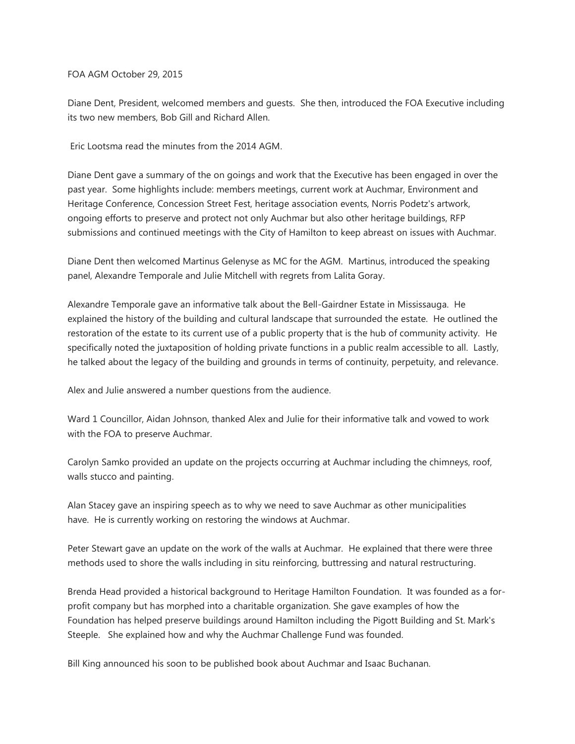FOA AGM October 29, 2015

Diane Dent, President, welcomed members and guests. She then, introduced the FOA Executive including its two new members, Bob Gill and Richard Allen.

Eric Lootsma read the minutes from the 2014 AGM.

Diane Dent gave a summary of the on goings and work that the Executive has been engaged in over the past year. Some highlights include: members meetings, current work at Auchmar, Environment and Heritage Conference, Concession Street Fest, heritage association events, Norris Podetz's artwork, ongoing efforts to preserve and protect not only Auchmar but also other heritage buildings, RFP submissions and continued meetings with the City of Hamilton to keep abreast on issues with Auchmar.

Diane Dent then welcomed Martinus Gelenyse as MC for the AGM. Martinus, introduced the speaking panel, Alexandre Temporale and Julie Mitchell with regrets from Lalita Goray.

Alexandre Temporale gave an informative talk about the Bell-Gairdner Estate in Mississauga. He explained the history of the building and cultural landscape that surrounded the estate. He outlined the restoration of the estate to its current use of a public property that is the hub of community activity. He specifically noted the juxtaposition of holding private functions in a public realm accessible to all. Lastly, he talked about the legacy of the building and grounds in terms of continuity, perpetuity, and relevance.

Alex and Julie answered a number questions from the audience.

Ward 1 Councillor, Aidan Johnson, thanked Alex and Julie for their informative talk and vowed to work with the FOA to preserve Auchmar.

Carolyn Samko provided an update on the projects occurring at Auchmar including the chimneys, roof, walls stucco and painting.

Alan Stacey gave an inspiring speech as to why we need to save Auchmar as other municipalities have. He is currently working on restoring the windows at Auchmar.

Peter Stewart gave an update on the work of the walls at Auchmar. He explained that there were three methods used to shore the walls including in situ reinforcing, buttressing and natural restructuring.

Brenda Head provided a historical background to Heritage Hamilton Foundation. It was founded as a forprofit company but has morphed into a charitable organization. She gave examples of how the Foundation has helped preserve buildings around Hamilton including the Pigott Building and St. Mark's Steeple. She explained how and why the Auchmar Challenge Fund was founded.

Bill King announced his soon to be published book about Auchmar and Isaac Buchanan.